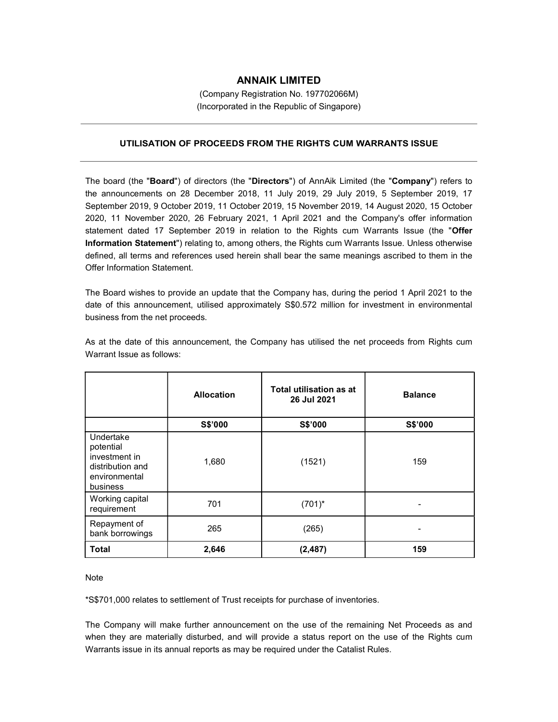## ANNAIK LIMITED

(Company Registration No. 197702066M) (Incorporated in the Republic of Singapore)

## UTILISATION OF PROCEEDS FROM THE RIGHTS CUM WARRANTS ISSUE

The board (the "Board") of directors (the "Directors") of AnnAik Limited (the "Company") refers to the announcements on 28 December 2018, 11 July 2019, 29 July 2019, 5 September 2019, 17 September 2019, 9 October 2019, 11 October 2019, 15 November 2019, 14 August 2020, 15 October 2020, 11 November 2020, 26 February 2021, 1 April 2021 and the Company's offer information statement dated 17 September 2019 in relation to the Rights cum Warrants Issue (the "Offer Information Statement") relating to, among others, the Rights cum Warrants Issue. Unless otherwise defined, all terms and references used herein shall bear the same meanings ascribed to them in the Offer Information Statement.

The Board wishes to provide an update that the Company has, during the period 1 April 2021 to the date of this announcement, utilised approximately S\$0.572 million for investment in environmental business from the net proceeds.

|                                                                                          | <b>Allocation</b> | Total utilisation as at<br>26 Jul 2021 | <b>Balance</b> |
|------------------------------------------------------------------------------------------|-------------------|----------------------------------------|----------------|
|                                                                                          | S\$'000           | S\$'000                                | S\$'000        |
| Undertake<br>potential<br>investment in<br>distribution and<br>environmental<br>business | 1,680             | (1521)                                 | 159            |
| Working capital<br>requirement                                                           | 701               | $(701)^*$                              |                |
| Repayment of<br>bank borrowings                                                          | 265               | (265)                                  |                |
| <b>Total</b>                                                                             | 2,646             | (2, 487)                               | 159            |

As at the date of this announcement, the Company has utilised the net proceeds from Rights cum Warrant Issue as follows:

Note

\*S\$701,000 relates to settlement of Trust receipts for purchase of inventories.

The Company will make further announcement on the use of the remaining Net Proceeds as and when they are materially disturbed, and will provide a status report on the use of the Rights cum Warrants issue in its annual reports as may be required under the Catalist Rules.